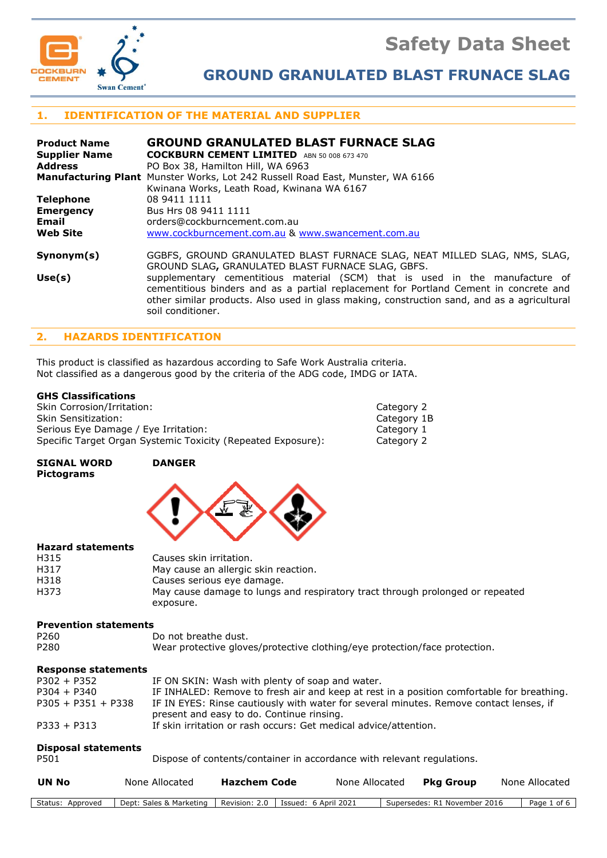**Safety Data Sheet**



**GROUND GRANULATED BLAST FRUNACE SLAG**

# **1. IDENTIFICATION OF THE MATERIAL AND SUPPLIER**

| <b>Product Name</b><br><b>Supplier Name</b> | <b>GROUND GRANULATED BLAST FURNACE SLAG</b><br><b>COCKBURN CEMENT LIMITED</b> ABN 50 008 673 470                                                                                                                                                                                          |
|---------------------------------------------|-------------------------------------------------------------------------------------------------------------------------------------------------------------------------------------------------------------------------------------------------------------------------------------------|
|                                             |                                                                                                                                                                                                                                                                                           |
| <b>Address</b>                              | PO Box 38, Hamilton Hill, WA 6963                                                                                                                                                                                                                                                         |
|                                             | <b>Manufacturing Plant</b> Munster Works, Lot 242 Russell Road East, Munster, WA 6166                                                                                                                                                                                                     |
|                                             | Kwinana Works, Leath Road, Kwinana WA 6167                                                                                                                                                                                                                                                |
| <b>Telephone</b>                            | 08 9411 1111                                                                                                                                                                                                                                                                              |
| <b>Emergency</b>                            | Bus Hrs 08 9411 1111                                                                                                                                                                                                                                                                      |
| <b>Email</b>                                | orders@cockburncement.com.au                                                                                                                                                                                                                                                              |
| <b>Web Site</b>                             | www.cockburncement.com.au & www.swancement.com.au                                                                                                                                                                                                                                         |
| Symonym(s)                                  | GGBFS, GROUND GRANULATED BLAST FURNACE SLAG, NEAT MILLED SLAG, NMS, SLAG,<br>GROUND SLAG, GRANULATED BLAST FURNACE SLAG, GBFS.                                                                                                                                                            |
| Use(s)                                      | supplementary cementitious material (SCM) that is used in the manufacture of<br>cementitious binders and as a partial replacement for Portland Cement in concrete and<br>other similar products. Also used in glass making, construction sand, and as a agricultural<br>soil conditioner. |

# **2. HAZARDS IDENTIFICATION**

This product is classified as hazardous according to Safe Work Australia criteria. Not classified as a dangerous good by the criteria of the ADG code, IMDG or IATA.

# **GHS Classifications**

| Skin Corrosion/Irritation:                                   | Category 2  |
|--------------------------------------------------------------|-------------|
| Skin Sensitization:                                          | Category 1B |
| Serious Eye Damage / Eye Irritation:                         | Category 1  |
| Specific Target Organ Systemic Toxicity (Repeated Exposure): | Category 2  |

**SIGNAL WORD DANGER Pictograms**



#### **Hazard statements**

| H315 | Causes skin irritation.                                                       |
|------|-------------------------------------------------------------------------------|
| H317 | May cause an allergic skin reaction.                                          |
| H318 | Causes serious eye damage.                                                    |
| H373 | May cause damage to lungs and respiratory tract through prolonged or repeated |
|      | exposure.                                                                     |

#### **Prevention statements**

| P <sub>260</sub> | Do not breathe dust.                                                       |
|------------------|----------------------------------------------------------------------------|
| P <sub>280</sub> | Wear protective gloves/protective clothing/eye protection/face protection. |

#### **Response statements**

| $P302 + P352$        | IF ON SKIN: Wash with plenty of soap and water.                                           |
|----------------------|-------------------------------------------------------------------------------------------|
| $P304 + P340$        | IF INHALED: Remove to fresh air and keep at rest in a position comfortable for breathing. |
| $P305 + P351 + P338$ | IF IN EYES: Rinse cautiously with water for several minutes. Remove contact lenses, if    |
|                      | present and easy to do. Continue rinsing.                                                 |
| $P333 + P313$        | If skin irritation or rash occurs: Get medical advice/attention.                          |

#### **Disposal statements**

| P501 | Dispose of contents/container in accordance with relevant regulations. |
|------|------------------------------------------------------------------------|
|------|------------------------------------------------------------------------|

| None Allocated<br>UN No<br><b>Pkg Group</b><br><b>Hazchem Code</b><br>None Allocated<br>None Allocated |  |
|--------------------------------------------------------------------------------------------------------|--|
|--------------------------------------------------------------------------------------------------------|--|

| Marketing<br>Revision <sup>.</sup><br>Dept:<br>: April .<br>sales<br>Approved<br>Supersedes<br>Issued<br>bage<br>November<br>ot<br>R 1<br>z.u | Status: |  |  | 202 <sup>1</sup> | 2016<br>ית- |  |
|-----------------------------------------------------------------------------------------------------------------------------------------------|---------|--|--|------------------|-------------|--|
|-----------------------------------------------------------------------------------------------------------------------------------------------|---------|--|--|------------------|-------------|--|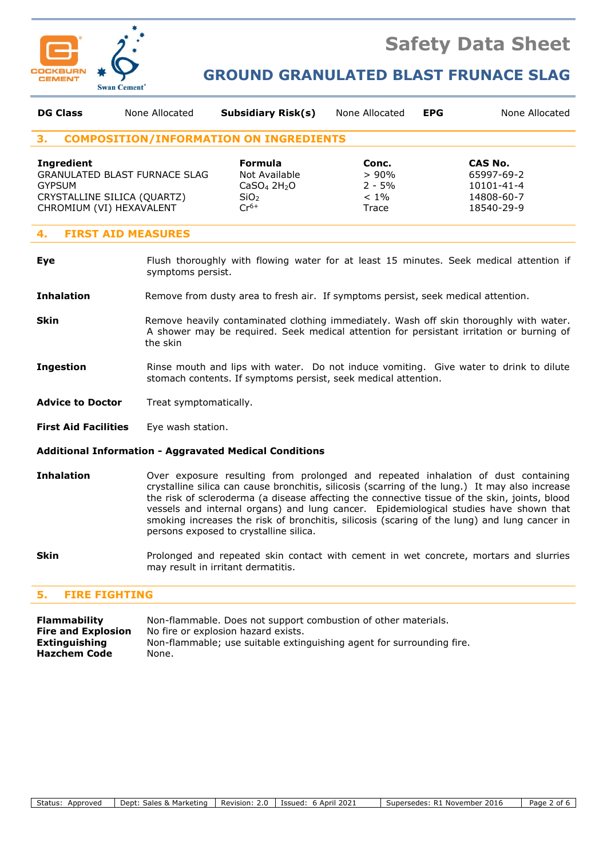

# **Safety Data Sheet**

# **GROUND GRANULATED BLAST FRUNACE SLAG**

| <b>DG Class</b>                                                                               | None Allocated                       | <b>Subsidiary Risk(s)</b>                                                                               | None Allocated                                   | <b>EPG</b> | None Allocated                                                  |
|-----------------------------------------------------------------------------------------------|--------------------------------------|---------------------------------------------------------------------------------------------------------|--------------------------------------------------|------------|-----------------------------------------------------------------|
| З.                                                                                            |                                      | <b>COMPOSITION/INFORMATION ON INGREDIENTS</b>                                                           |                                                  |            |                                                                 |
| <b>Ingredient</b><br><b>GYPSUM</b><br>CRYSTALLINE SILICA (QUARTZ)<br>CHROMIUM (VI) HEXAVALENT | <b>GRANULATED BLAST FURNACE SLAG</b> | <b>Formula</b><br>Not Available<br>CaSO <sub>4</sub> 2H <sub>2</sub> O<br>SiO <sub>2</sub><br>$Cr^{6+}$ | Conc.<br>$>90\%$<br>$2 - 5%$<br>$< 1\%$<br>Trace |            | CAS No.<br>65997-69-2<br>10101-41-4<br>14808-60-7<br>18540-29-9 |

### **4. FIRST AID MEASURES**

**Eye** Flush thoroughly with flowing water for at least 15 minutes. Seek medical attention if symptoms persist.

**Inhalation** Remove from dusty area to fresh air. If symptoms persist, seek medical attention.

- **Skin** Remove heavily contaminated clothing immediately. Wash off skin thoroughly with water. A shower may be required. Seek medical attention for persistant irritation or burning of the skin
- **Ingestion** Rinse mouth and lips with water. Do not induce vomiting. Give water to drink to dilute stomach contents. If symptoms persist, seek medical attention.
- Advice to Doctor Treat symptomatically.
- **First Aid Facilities** Eye wash station.

#### **Additional Information - Aggravated Medical Conditions**

- **Inhalation** Over exposure resulting from prolonged and repeated inhalation of dust containing crystalline silica can cause bronchitis, silicosis (scarring of the lung.) It may also increase the risk of scleroderma (a disease affecting the connective tissue of the skin, joints, blood vessels and internal organs) and lung cancer. Epidemiological studies have shown that smoking increases the risk of bronchitis, silicosis (scaring of the lung) and lung cancer in persons exposed to crystalline silica.
- **Skin** Prolonged and repeated skin contact with cement in wet concrete, mortars and slurries may result in irritant dermatitis.

#### **5. FIRE FIGHTING**

**Flammability** Non-flammable. Does not support combustion of other materials. **Fire and Explosion** No fire or explosion hazard exists. **Extinguishing** Non-flammable; use suitable extinguishing agent for surrounding fire. **Hazchem Code** None.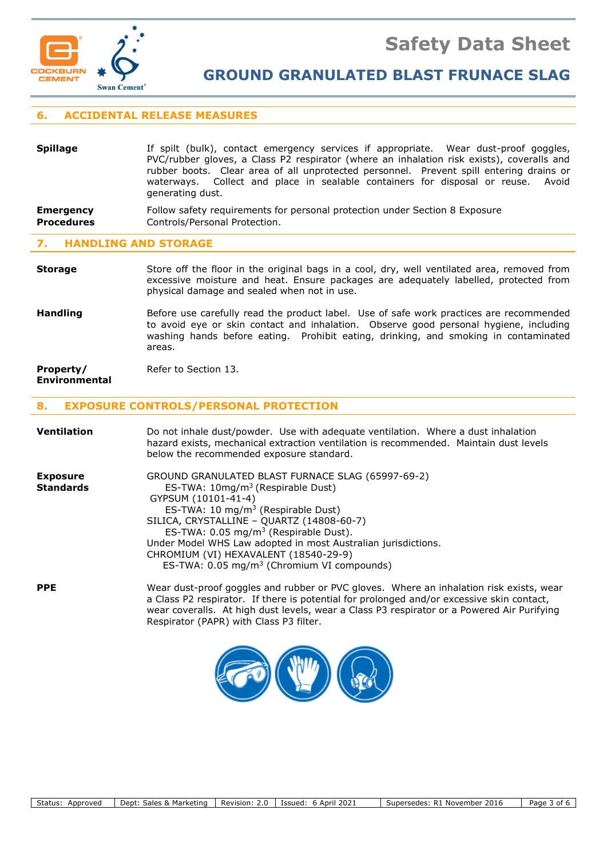

**GROUND GRANULATED BLAST FRUNACE SLAG**

# **6. ACCIDENTAL RELEASE MEASURES**

# **Spillage** If spilt (bulk), contact emergency services if appropriate. Wear dust-proof goggles, PVC/rubber gloves, a Class P2 respirator (where an inhalation risk exists), coveralls and rubber boots. Clear area of all unprotected personnel. Prevent spill entering drains or waterways. Collect and place in sealable containers for disposal or reuse. Avoid generating dust. **Emergency** Follow safety requirements for personal protection under Section 8 Exposure **Procedures Controls/Personal Protection.**

#### **7. HANDLING AND STORAGE**

**Storage** Store off the floor in the original bags in a cool, dry, well ventilated area, removed from excessive moisture and heat. Ensure packages are adequately labelled, protected from physical damage and sealed when not in use.

**Handling** Before use carefully read the product label. Use of safe work practices are recommended to avoid eye or skin contact and inhalation. Observe good personal hygiene, including washing hands before eating. Prohibit eating, drinking, and smoking in contaminated areas.

#### **Property/** Refer to Section 13. **Environmental**

# **8. EXPOSURE CONTROLS/PERSONAL PROTECTION**

| Ventilation                         | Do not inhale dust/powder. Use with adequate ventilation. Where a dust inhalation<br>hazard exists, mechanical extraction ventilation is recommended. Maintain dust levels<br>below the recommended exposure standard.                                                                                                                                                                                                                           |
|-------------------------------------|--------------------------------------------------------------------------------------------------------------------------------------------------------------------------------------------------------------------------------------------------------------------------------------------------------------------------------------------------------------------------------------------------------------------------------------------------|
| <b>Exposure</b><br><b>Standards</b> | GROUND GRANULATED BLAST FURNACE SLAG (65997-69-2)<br>ES-TWA: $10\,\text{mg/m}^3$ (Respirable Dust)<br>GYPSUM (10101-41-4)<br>ES-TWA: 10 mg/m <sup>3</sup> (Respirable Dust)<br>SILICA, CRYSTALLINE - QUARTZ (14808-60-7)<br>ES-TWA: $0.05 \text{ mg/m}^3$ (Respirable Dust).<br>Under Model WHS Law adopted in most Australian jurisdictions.<br>CHROMIUM (VI) HEXAVALENT (18540-29-9)<br>ES-TWA: 0.05 mg/m <sup>3</sup> (Chromium VI compounds) |
| <b>PPE</b>                          | Wear dust-proof goggles and rubber or PVC gloves. Where an inhalation risk exists, wear<br>a Class P2 respirator. If there is potential for prolonged and/or excessive skin contact,<br>wear coveralls. At high dust levels, wear a Class P3 respirator or a Powered Air Purifying<br>Respirator (PAPR) with Class P3 filter.                                                                                                                    |

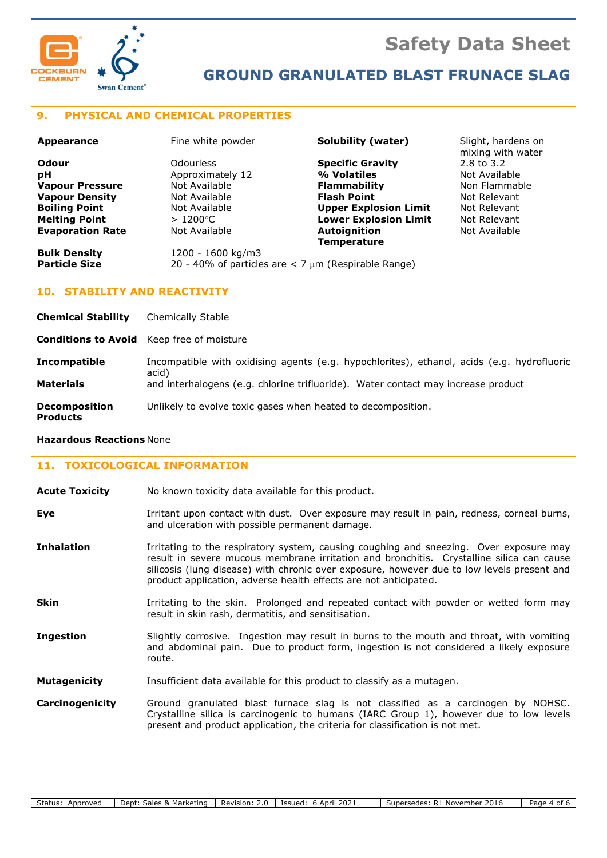



# **GROUND GRANULATED BLAST FRUNACE SLAG**

# **9. PHYSICAL AND CHEMICAL PROPERTIES**

| <b>Appearance</b>       | Fine white powder                                          | Solubility (water)           | Slight, hardens on<br>mixing with water |
|-------------------------|------------------------------------------------------------|------------------------------|-----------------------------------------|
| Odour                   | Odourless                                                  | <b>Specific Gravity</b>      | 2.8 to 3.2                              |
| рH                      | Approximately 12                                           | % Volatiles                  | Not Available                           |
| <b>Vapour Pressure</b>  | Not Available                                              | <b>Flammability</b>          | Non Flammable                           |
| <b>Vapour Density</b>   | Not Available                                              | <b>Flash Point</b>           | Not Relevant                            |
| <b>Boiling Point</b>    | Not Available                                              | <b>Upper Explosion Limit</b> | Not Relevant                            |
| <b>Melting Point</b>    | $>1200^{\circ}$ C                                          | <b>Lower Explosion Limit</b> | Not Relevant                            |
| <b>Evaporation Rate</b> | Not Available                                              | Autoignition                 | Not Available                           |
|                         |                                                            | <b>Temperature</b>           |                                         |
| <b>Bulk Density</b>     | 1200 - 1600 kg/m3                                          |                              |                                         |
| <b>Particle Size</b>    | 20 - 40% of particles are $<$ 7 $\mu$ m (Respirable Range) |                              |                                         |
|                         |                                                            |                              |                                         |

# **10. STABILITY AND REACTIVITY**

| <b>Chemical Stability</b>               | Chemically Stable                                                                                                                                                                        |
|-----------------------------------------|------------------------------------------------------------------------------------------------------------------------------------------------------------------------------------------|
|                                         | <b>Conditions to Avoid</b> Keep free of moisture                                                                                                                                         |
| Incompatible<br><b>Materials</b>        | Incompatible with oxidising agents (e.g. hypochlorites), ethanol, acids (e.g. hydrofluoric<br>acid)<br>and interhalogens (e.g. chlorine trifluoride). Water contact may increase product |
|                                         |                                                                                                                                                                                          |
| <b>Decomposition</b><br><b>Products</b> | Unlikely to evolve toxic gases when heated to decomposition.                                                                                                                             |

#### **Hazardous Reactions** None

# **11. TOXICOLOGICAL INFORMATION**

| <b>Acute Toxicity</b> |  | No known toxicity data available for this product. |
|-----------------------|--|----------------------------------------------------|
|-----------------------|--|----------------------------------------------------|

- **Eye I**rritant upon contact with dust. Over exposure may result in pain, redness, corneal burns, and ulceration with possible permanent damage.
- **Inhalation** Irritating to the respiratory system, causing coughing and sneezing. Over exposure may result in severe mucous membrane irritation and bronchitis. Crystalline silica can cause silicosis (lung disease) with chronic over exposure, however due to low levels present and product application, adverse health effects are not anticipated.
- **Skin** Irritating to the skin. Prolonged and repeated contact with powder or wetted form may result in skin rash, dermatitis, and sensitisation.
- **Ingestion** Slightly corrosive. Ingestion may result in burns to the mouth and throat, with vomiting and abdominal pain. Due to product form, ingestion is not considered a likely exposure route.
- **Mutagenicity** Insufficient data available for this product to classify as a mutagen.
- **Carcinogenicity** Ground granulated blast furnace slag is not classified as a carcinogen by NOHSC. Crystalline silica is carcinogenic to humans (IARC Group 1), however due to low levels present and product application, the criteria for classification is not met.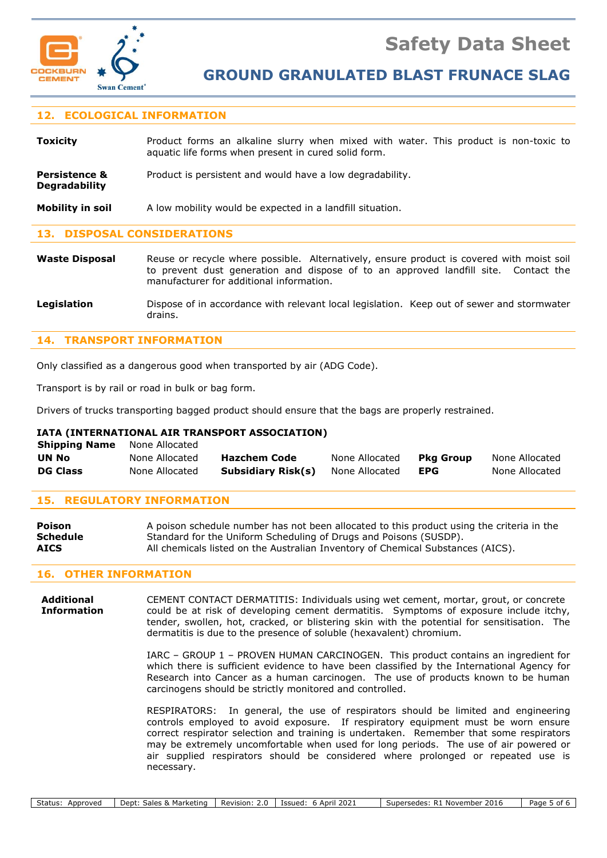



**GROUND GRANULATED BLAST FRUNACE SLAG**

# **12. ECOLOGICAL INFORMATION**

| <b>Toxicity</b> |                                                      |  |  |  |  |  | Product forms an alkaline slurry when mixed with water. This product is non-toxic to |  |
|-----------------|------------------------------------------------------|--|--|--|--|--|--------------------------------------------------------------------------------------|--|
|                 | aquatic life forms when present in cured solid form. |  |  |  |  |  |                                                                                      |  |
|                 |                                                      |  |  |  |  |  |                                                                                      |  |

**Persistence &** Product is persistent and would have a low degradability. **Degradability**

**Mobility in soil** A low mobility would be expected in a landfill situation.

# **13. DISPOSAL CONSIDERATIONS**

**Waste Disposal** Reuse or recycle where possible. Alternatively, ensure product is covered with moist soil to prevent dust generation and dispose of to an approved landfill site. Contact the manufacturer for additional information.

**Legislation** Dispose of in accordance with relevant local legislation. Keep out of sewer and stormwater drains.

# **14. TRANSPORT INFORMATION**

Only classified as a dangerous good when transported by air (ADG Code).

Transport is by rail or road in bulk or bag form.

Drivers of trucks transporting bagged product should ensure that the bags are properly restrained.

### **IATA (INTERNATIONAL AIR TRANSPORT ASSOCIATION)**

| <b>Shipping Name</b> | None Allocated |                    |                |           |                |
|----------------------|----------------|--------------------|----------------|-----------|----------------|
| <b>UN No</b>         | None Allocated | Hazchem Code       | None Allocated | Pka Group | None Allocated |
| <b>DG Class</b>      | None Allocated | Subsidiary Risk(s) | None Allocated | EPG       | None Allocated |

# **15. REGULATORY INFORMATION**

| Poison          | A poison schedule number has not been allocated to this product using the criteria in the |
|-----------------|-------------------------------------------------------------------------------------------|
| <b>Schedule</b> | Standard for the Uniform Scheduling of Drugs and Poisons (SUSDP).                         |
| <b>AICS</b>     | All chemicals listed on the Australian Inventory of Chemical Substances (AICS).           |

#### **16. OTHER INFORMATION**

**Additional** CEMENT CONTACT DERMATITIS: Individuals using wet cement, mortar, grout, or concrete **Information** could be at risk of developing cement dermatitis. Symptoms of exposure include itchy, tender, swollen, hot, cracked, or blistering skin with the potential for sensitisation. The dermatitis is due to the presence of soluble (hexavalent) chromium.

> IARC – GROUP 1 – PROVEN HUMAN CARCINOGEN. This product contains an ingredient for which there is sufficient evidence to have been classified by the International Agency for Research into Cancer as a human carcinogen. The use of products known to be human carcinogens should be strictly monitored and controlled.

> RESPIRATORS: In general, the use of respirators should be limited and engineering controls employed to avoid exposure. If respiratory equipment must be worn ensure correct respirator selection and training is undertaken. Remember that some respirators may be extremely uncomfortable when used for long periods. The use of air powered or air supplied respirators should be considered where prolonged or repeated use is necessary.